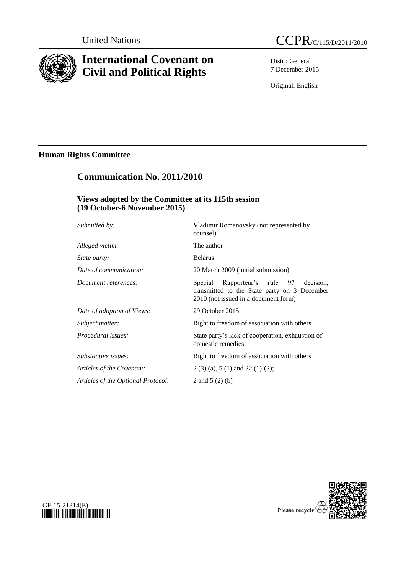

# **International Covenant on Civil and Political Rights**

Distr.: General 7 December 2015

Original: English

## **Human Rights Committee**

# **Communication No. 2011/2010**

### **Views adopted by the Committee at its 115th session (19 October-6 November 2015)**

| Submitted by:                      | Vladimir Romanovsky (not represented by<br>counsel)                                                                               |
|------------------------------------|-----------------------------------------------------------------------------------------------------------------------------------|
| Alleged victim:                    | The author                                                                                                                        |
| <i>State party:</i>                | <b>Belarus</b>                                                                                                                    |
| Date of communication:             | 20 March 2009 (initial submission)                                                                                                |
| Document references:               | Rapporteur's rule 97 decision,<br>Special<br>transmitted to the State party on 3 December<br>2010 (not issued in a document form) |
| Date of adoption of Views:         | 29 October 2015                                                                                                                   |
| Subject matter:                    | Right to freedom of association with others                                                                                       |
| Procedural issues:                 | State party's lack of cooperation, exhaustion of<br>domestic remedies                                                             |
| Substantive issues:                | Right to freedom of association with others                                                                                       |
| Articles of the Covenant:          | $2(3)(a)$ , 5 (1) and 22 (1)-(2);                                                                                                 |
| Articles of the Optional Protocol: | 2 and 5 $(2)$ (b)                                                                                                                 |
|                                    |                                                                                                                                   |



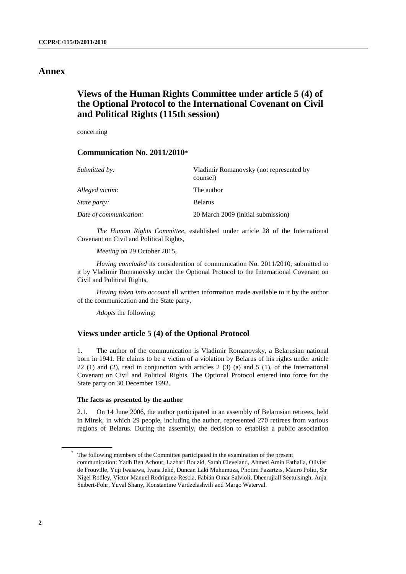### **Annex**

### **Views of the Human Rights Committee under article 5 (4) of the Optional Protocol to the International Covenant on Civil and Political Rights (115th session)**

concerning

#### **Communication No. 2011/2010**\*

| Submitted by:          | Vladimir Romanovsky (not represented by<br>counsel) |
|------------------------|-----------------------------------------------------|
| Alleged victim:        | The author                                          |
| <i>State party:</i>    | <b>Belarus</b>                                      |
| Date of communication: | 20 March 2009 (initial submission)                  |

*The Human Rights Committee*, established under article 28 of the International Covenant on Civil and Political Rights,

*Meeting on* 29 October 2015,

*Having concluded* its consideration of communication No. 2011/2010, submitted to it by Vladimir Romanovsky under the Optional Protocol to the International Covenant on Civil and Political Rights,

*Having taken into account* all written information made available to it by the author of the communication and the State party,

*Adopts* the following:

#### **Views under article 5 (4) of the Optional Protocol**

1. The author of the communication is Vladimir Romanovsky, a Belarusian national born in 1941. He claims to be a victim of a violation by Belarus of his rights under article 22 (1) and (2), read in conjunction with articles 2 (3) (a) and 5 (1), of the International Covenant on Civil and Political Rights. The Optional Protocol entered into force for the State party on 30 December 1992.

#### **The facts as presented by the author**

2.1. On 14 June 2006, the author participated in an assembly of Belarusian retirees, held in Minsk, in which 29 people, including the author, represented 270 retirees from various regions of Belarus. During the assembly, the decision to establish a public association

<sup>\*</sup> The following members of the Committee participated in the examination of the present communication: Yadh Ben Achour, Lazhari Bouzid, Sarah Cleveland, Ahmed Amin Fathalla, Olivier de Frouville, Yuji Iwasawa, Ivana Jelić, Duncan Laki Muhumuza, Photini Pazartzis, Mauro Politi, Sir Nigel Rodley, Víctor Manuel Rodríguez-Rescia, Fabián Omar Salvioli, Dheerujlall Seetulsingh, Anja Seibert-Fohr, Yuval Shany, Konstantine Vardzelashvili and Margo Waterval.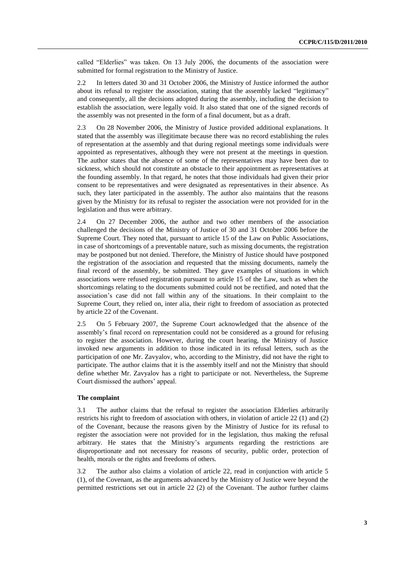called "Elderlies" was taken. On 13 July 2006, the documents of the association were submitted for formal registration to the Ministry of Justice.

2.2 In letters dated 30 and 31 October 2006, the Ministry of Justice informed the author about its refusal to register the association, stating that the assembly lacked "legitimacy" and consequently, all the decisions adopted during the assembly, including the decision to establish the association, were legally void. It also stated that one of the signed records of the assembly was not presented in the form of a final document, but as a draft.

2.3 On 28 November 2006, the Ministry of Justice provided additional explanations. It stated that the assembly was illegitimate because there was no record establishing the rules of representation at the assembly and that during regional meetings some individuals were appointed as representatives, although they were not present at the meetings in question. The author states that the absence of some of the representatives may have been due to sickness, which should not constitute an obstacle to their appointment as representatives at the founding assembly. In that regard, he notes that those individuals had given their prior consent to be representatives and were designated as representatives in their absence. As such, they later participated in the assembly. The author also maintains that the reasons given by the Ministry for its refusal to register the association were not provided for in the legislation and thus were arbitrary.

2.4 On 27 December 2006, the author and two other members of the association challenged the decisions of the Ministry of Justice of 30 and 31 October 2006 before the Supreme Court. They noted that, pursuant to article 15 of the Law on Public Associations, in case of shortcomings of a preventable nature, such as missing documents, the registration may be postponed but not denied. Therefore, the Ministry of Justice should have postponed the registration of the association and requested that the missing documents, namely the final record of the assembly, be submitted. They gave examples of situations in which associations were refused registration pursuant to article 15 of the Law, such as when the shortcomings relating to the documents submitted could not be rectified, and noted that the association's case did not fall within any of the situations. In their complaint to the Supreme Court, they relied on, inter alia, their right to freedom of association as protected by article 22 of the Covenant.

2.5 On 5 February 2007, the Supreme Court acknowledged that the absence of the assembly's final record on representation could not be considered as a ground for refusing to register the association. However, during the court hearing, the Ministry of Justice invoked new arguments in addition to those indicated in its refusal letters, such as the participation of one Mr. Zavyalov, who, according to the Ministry, did not have the right to participate. The author claims that it is the assembly itself and not the Ministry that should define whether Mr. Zavyalov has a right to participate or not. Nevertheless, the Supreme Court dismissed the authors' appeal.

#### **The complaint**

3.1 The author claims that the refusal to register the association Elderlies arbitrarily restricts his right to freedom of association with others, in violation of article 22 (1) and (2) of the Covenant, because the reasons given by the Ministry of Justice for its refusal to register the association were not provided for in the legislation, thus making the refusal arbitrary. He states that the Ministry's arguments regarding the restrictions are disproportionate and not necessary for reasons of security, public order, protection of health, morals or the rights and freedoms of others.

3.2 The author also claims a violation of article 22, read in conjunction with article 5 (1), of the Covenant, as the arguments advanced by the Ministry of Justice were beyond the permitted restrictions set out in article 22 (2) of the Covenant. The author further claims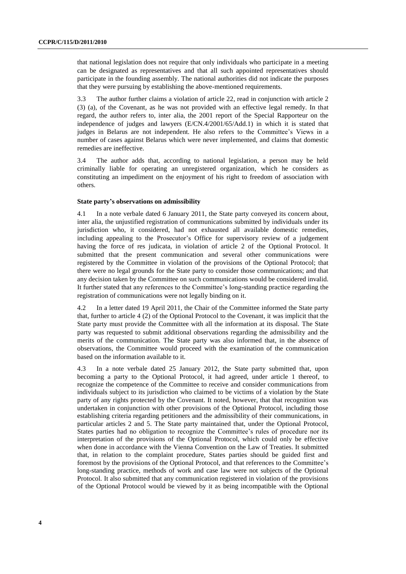that national legislation does not require that only individuals who participate in a meeting can be designated as representatives and that all such appointed representatives should participate in the founding assembly. The national authorities did not indicate the purposes that they were pursuing by establishing the above-mentioned requirements.

3.3 The author further claims a violation of article 22, read in conjunction with article 2 (3) (a), of the Covenant, as he was not provided with an effective legal remedy. In that regard, the author refers to, inter alia, the 2001 report of the Special Rapporteur on the independence of judges and lawyers (E/CN.4/2001/65/Add.1) in which it is stated that judges in Belarus are not independent. He also refers to the Committee's Views in a number of cases against Belarus which were never implemented, and claims that domestic remedies are ineffective.

3.4 The author adds that, according to national legislation, a person may be held criminally liable for operating an unregistered organization, which he considers as constituting an impediment on the enjoyment of his right to freedom of association with others.

#### **State party's observations on admissibility**

4.1 In a note verbale dated 6 January 2011, the State party conveyed its concern about, inter alia, the unjustified registration of communications submitted by individuals under its jurisdiction who, it considered, had not exhausted all available domestic remedies, including appealing to the Prosecutor's Office for supervisory review of a judgement having the force of res judicata, in violation of article 2 of the Optional Protocol. It submitted that the present communication and several other communications were registered by the Committee in violation of the provisions of the Optional Protocol; that there were no legal grounds for the State party to consider those communications; and that any decision taken by the Committee on such communications would be considered invalid. It further stated that any references to the Committee's long-standing practice regarding the registration of communications were not legally binding on it.

4.2 In a letter dated 19 April 2011, the Chair of the Committee informed the State party that, further to article 4 (2) of the Optional Protocol to the Covenant, it was implicit that the State party must provide the Committee with all the information at its disposal. The State party was requested to submit additional observations regarding the admissibility and the merits of the communication. The State party was also informed that, in the absence of observations, the Committee would proceed with the examination of the communication based on the information available to it.

4.3 In a note verbale dated 25 January 2012, the State party submitted that, upon becoming a party to the Optional Protocol, it had agreed, under article 1 thereof, to recognize the competence of the Committee to receive and consider communications from individuals subject to its jurisdiction who claimed to be victims of a violation by the State party of any rights protected by the Covenant. It noted, however, that that recognition was undertaken in conjunction with other provisions of the Optional Protocol, including those establishing criteria regarding petitioners and the admissibility of their communications, in particular articles 2 and 5. The State party maintained that, under the Optional Protocol, States parties had no obligation to recognize the Committee's rules of procedure nor its interpretation of the provisions of the Optional Protocol, which could only be effective when done in accordance with the Vienna Convention on the Law of Treaties. It submitted that, in relation to the complaint procedure, States parties should be guided first and foremost by the provisions of the Optional Protocol, and that references to the Committee's long-standing practice, methods of work and case law were not subjects of the Optional Protocol. It also submitted that any communication registered in violation of the provisions of the Optional Protocol would be viewed by it as being incompatible with the Optional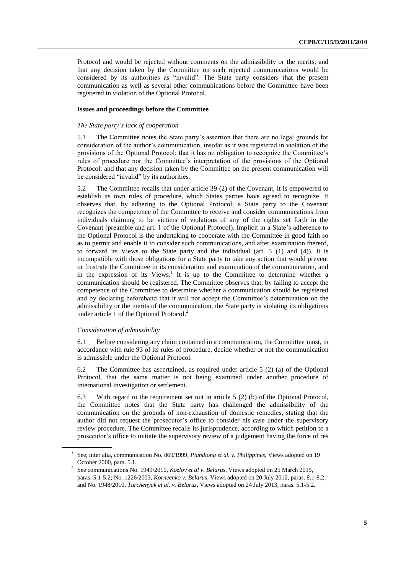Protocol and would be rejected without comments on the admissibility or the merits, and that any decision taken by the Committee on such rejected communications would be considered by its authorities as "invalid". The State party considers that the present communication as well as several other communications before the Committee have been registered in violation of the Optional Protocol.

#### **Issues and proceedings before the Committee**

#### *The State party's lack of cooperation*

5.1 The Committee notes the State party's assertion that there are no legal grounds for consideration of the author's communication, insofar as it was registered in violation of the provisions of the Optional Protocol; that it has no obligation to recognize the Committee's rules of procedure nor the Committee's interpretation of the provisions of the Optional Protocol; and that any decision taken by the Committee on the present communication will be considered "invalid" by its authorities.

5.2 The Committee recalls that under article 39 (2) of the Covenant, it is empowered to establish its own rules of procedure, which States parties have agreed to recognize. It observes that, by adhering to the Optional Protocol, a State party to the Covenant recognizes the competence of the Committee to receive and consider communications from individuals claiming to be victims of violations of any of the rights set forth in the Covenant (preamble and art. 1 of the Optional Protocol). Implicit in a State's adherence to the Optional Protocol is the undertaking to cooperate with the Committee in good faith so as to permit and enable it to consider such communications, and after examination thereof, to forward its Views to the State party and the individual (art. 5 (1) and (4)). It is incompatible with those obligations for a State party to take any action that would prevent or frustrate the Committee in its consideration and examination of the communication, and in the expression of its Views.<sup>1</sup> It is up to the Committee to determine whether a communication should be registered. The Committee observes that, by failing to accept the competence of the Committee to determine whether a communication should be registered and by declaring beforehand that it will not accept the Committee's determination on the admissibility or the merits of the communication, the State party is violating its obligations under article 1 of the Optional Protocol.<sup>2</sup>

#### *Consideration of admissibility*

6.1 Before considering any claim contained in a communication, the Committee must, in accordance with rule 93 of its rules of procedure, decide whether or not the communication is admissible under the Optional Protocol.

6.2 The Committee has ascertained, as required under article 5 (2) (a) of the Optional Protocol, that the same matter is not being examined under another procedure of international investigation or settlement.

6.3 With regard to the requirement set out in article 5 (2) (b) of the Optional Protocol, the Committee notes that the State party has challenged the admissibility of the communication on the grounds of non-exhaustion of domestic remedies, stating that the author did not request the prosecutor's office to consider his case under the supervisory review procedure. The Committee recalls its jurisprudence, according to which petition to a prosecutor's office to initiate the supervisory review of a judgement having the force of res

<sup>&</sup>lt;sup>1</sup> See, inter alia, communication No. 869/1999, *Piandiong et al. v. Philippines*, Views adopted on 19 October 2000, para. 5.1.

<sup>2</sup> See communications No. 1949/2010, *Kozlov et al v. Belarus*, Views adopted on 25 March 2015, paras. 5.1-5.2; No. 1226/2003, *Korneenko v. Belarus*, Views adopted on 20 July 2012, paras. 8.1-8.2; and No. 1948/2010, *Turchenyak et al. v. Belarus*, Views adopted on 24 July 2013, paras. 5.1-5.2.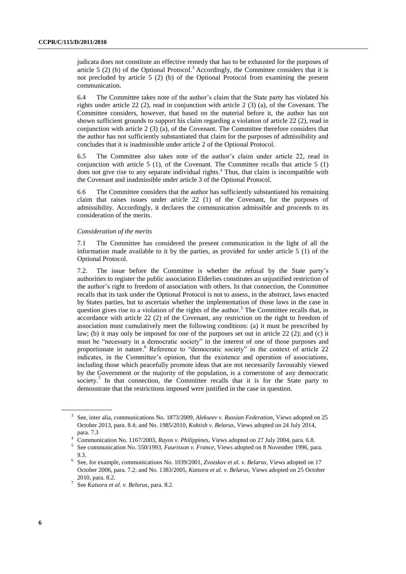judicata does not constitute an effective remedy that has to be exhausted for the purposes of article  $5$  (2) (b) of the Optional Protocol.<sup>3</sup> Accordingly, the Committee considers that it is not precluded by article 5 (2) (b) of the Optional Protocol from examining the present communication.

6.4 The Committee takes note of the author's claim that the State party has violated his rights under article 22 (2), read in conjunction with article 2 (3) (a), of the Covenant. The Committee considers, however, that based on the material before it, the author has not shown sufficient grounds to support his claim regarding a violation of article 22 (2), read in conjunction with article 2 (3) (a), of the Covenant. The Committee therefore considers that the author has not sufficiently substantiated that claim for the purposes of admissibility and concludes that it is inadmissible under article 2 of the Optional Protocol.

6.5 The Committee also takes note of the author's claim under article 22, read in conjunction with article 5 (1), of the Covenant. The Committee recalls that article 5 (1) does not give rise to any separate individual rights.<sup>4</sup> Thus, that claim is incompatible with the Covenant and inadmissible under article 3 of the Optional Protocol.

6.6 The Committee considers that the author has sufficiently substantiated his remaining claim that raises issues under article 22 (1) of the Covenant, for the purposes of admissibility. Accordingly, it declares the communication admissible and proceeds to its consideration of the merits.

#### *Consideration of the merits*

7.1 The Committee has considered the present communication in the light of all the information made available to it by the parties, as provided for under article 5 (1) of the Optional Protocol.

7.2. The issue before the Committee is whether the refusal by the State party's authorities to register the public association Elderlies constitutes an unjustified restriction of the author's right to freedom of association with others. In that connection, the Committee recalls that its task under the Optional Protocol is not to assess, in the abstract, laws enacted by States parties, but to ascertain whether the implementation of those laws in the case in question gives rise to a violation of the rights of the author.<sup>5</sup> The Committee recalls that, in accordance with article 22 (2) of the Covenant, any restriction on the right to freedom of association must cumulatively meet the following conditions: (a) it must be prescribed by law; (b) it may only be imposed for one of the purposes set out in article 22 (2); and (c) it must be "necessary in a democratic society" in the interest of one of those purposes and proportionate in nature.<sup>6</sup> Reference to "democratic society" in the context of article 22 indicates, in the Committee's opinion, that the existence and operation of associations, including those which peacefully promote ideas that are not necessarily favourably viewed by the Government or the majority of the population, is a cornerstone of any democratic society.<sup>7</sup> In that connection, the Committee recalls that it is for the State party to demonstrate that the restrictions imposed were justified in the case in question.

<sup>3</sup> See, inter alia, communications No. 1873/2009, *Alekseev v. Russian Federation*, Views adopted on 25 October 2013, para. 8.4; and No. 1985/2010, *Koktish v. Belarus*, Views adopted on 24 July 2014, para. 7.3

<sup>4</sup> Communication No. 1167/2003, *Rayos v. Philippines*, Views adopted on 27 July 2004, para. 6.8.

<sup>5</sup> See communication No. 550/1993, *Faurisson v. France*, Views adopted on 8 November 1996, para. 9.3.

<sup>6</sup> See, for example, communications No. 1039/2001, *Zvozskov et al. v. Belarus*, Views adopted on 17 October 2006, para. 7.2; and No. 1383/2005, *Katsora et al. v. Belarus*, Views adopted on 25 October 2010, para. 8.2.

<sup>7</sup> See *Katsora et al. v. Belarus*, para. 8.2.